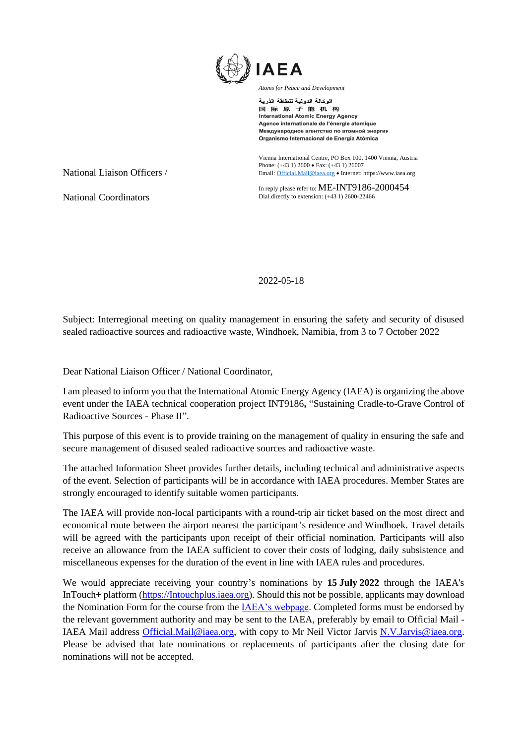

الوكالة الدولية للطاقة الذرية 国际原子能机构 **International Atomic Energy Agency** Agence internationale de l'énergie atomique Международное агентство по атомной энергии Organismo Internacional de Energía Atómica

Vienna International Centre, PO Box 100, 1400 Vienna, Austria Phone: (+43 1) 2600 • Fax: (+43 1) 26007 Email[: Official.Mail@iaea.org](mailto:official.mail@iaea.org) • Internet[: https://www.iaea.org](https://www.iaea.org/)

In reply please refer to: ME-INT9186-2000454 Dial directly to extension: (+43 1) 2600-22466

National Coordinators

National Liaison Officers /

2022-05-18

Subject: Interregional meeting on quality management in ensuring the safety and security of disused sealed radioactive sources and radioactive waste, Windhoek, Namibia, from 3 to 7 October 2022

Dear National Liaison Officer / National Coordinator,

I am pleased to inform you that the International Atomic Energy Agency (IAEA) is organizing the above event under the IAEA technical cooperation project INT9186**,** "Sustaining Cradle-to-Grave Control of Radioactive Sources - Phase II".

This purpose of this event is to provide training on the management of quality in ensuring the safe and secure management of disused sealed radioactive sources and radioactive waste.

The attached Information Sheet provides further details, including technical and administrative aspects of the event. Selection of participants will be in accordance with IAEA procedures. Member States are strongly encouraged to identify suitable women participants.

The IAEA will provide non-local participants with a round-trip air ticket based on the most direct and economical route between the airport nearest the participant's residence and Windhoek. Travel details will be agreed with the participants upon receipt of their official nomination. Participants will also receive an allowance from the IAEA sufficient to cover their costs of lodging, daily subsistence and miscellaneous expenses for the duration of the event in line with IAEA rules and procedures.

We would appreciate receiving your country's nominations by **15 July 2022** through the IAEA's InTouch+ platform [\(https://Intouchplus.iaea.org\)](https://intouchplus.iaea.org/). Should this not be possible, applicants may download the Nomination Form for the course from the **IAEA**'s webpage. Completed forms must be endorsed by the relevant government authority and may be sent to the IAEA, preferably by email to Official Mail - IAEA Mail address [Official.Mail@iaea.org,](mailto:Official.Mail@iaea.org) with copy to Mr Neil Victor Jarvis N.V.Jarvis@iaea.org. Please be advised that late nominations or replacements of participants after the closing date for nominations will not be accepted.